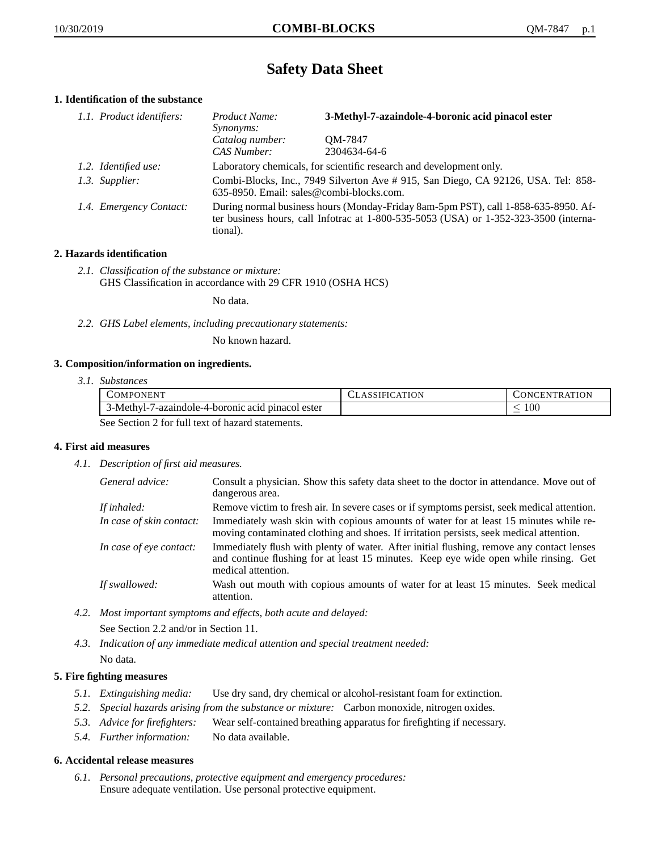# **Safety Data Sheet**

# **1. Identification of the substance**

| 1.1. Product identifiers: | 3-Methyl-7-azaindole-4-boronic acid pinacol ester<br>Product Name:<br><i>Synonyms:</i>                                                                                                      |                         |
|---------------------------|---------------------------------------------------------------------------------------------------------------------------------------------------------------------------------------------|-------------------------|
|                           | Catalog number:<br>CAS Number:                                                                                                                                                              | QM-7847<br>2304634-64-6 |
| 1.2. Identified use:      | Laboratory chemicals, for scientific research and development only.                                                                                                                         |                         |
| 1.3. Supplier:            | Combi-Blocks, Inc., 7949 Silverton Ave # 915, San Diego, CA 92126, USA. Tel: 858-<br>635-8950. Email: sales@combi-blocks.com.                                                               |                         |
| 1.4. Emergency Contact:   | During normal business hours (Monday-Friday 8am-5pm PST), call 1-858-635-8950. Af-<br>ter business hours, call Infotrac at $1-800-535-5053$ (USA) or $1-352-323-3500$ (interna-<br>tional). |                         |

# **2. Hazards identification**

*2.1. Classification of the substance or mixture:* GHS Classification in accordance with 29 CFR 1910 (OSHA HCS)

No data.

*2.2. GHS Label elements, including precautionary statements:*

No known hazard.

# **3. Composition/information on ingredients.**

*3.1. Substances*

|                                                  | COMPONENT                                         | <b>CLASSIFICATION</b> | CONCENTRATION |
|--------------------------------------------------|---------------------------------------------------|-----------------------|---------------|
|                                                  | 3-Methyl-7-azaindole-4-boronic acid pinacol ester |                       | -00           |
| See Section 2 for full text of hazard statements |                                                   |                       |               |

See Section 2 for full text of hazard statements.

# **4. First aid measures**

*4.1. Description of first aid measures.*

| General advice:          | Consult a physician. Show this safety data sheet to the doctor in attendance. Move out of<br>dangerous area.                                                                                            |
|--------------------------|---------------------------------------------------------------------------------------------------------------------------------------------------------------------------------------------------------|
| If inhaled:              | Remove victim to fresh air. In severe cases or if symptoms persist, seek medical attention.                                                                                                             |
| In case of skin contact: | Immediately wash skin with copious amounts of water for at least 15 minutes while re-<br>moving contaminated clothing and shoes. If irritation persists, seek medical attention.                        |
| In case of eve contact:  | Immediately flush with plenty of water. After initial flushing, remove any contact lenses<br>and continue flushing for at least 15 minutes. Keep eye wide open while rinsing. Get<br>medical attention. |
| If swallowed:            | Wash out mouth with copious amounts of water for at least 15 minutes. Seek medical<br>attention.                                                                                                        |

*4.2. Most important symptoms and effects, both acute and delayed:*

See Section 2.2 and/or in Section 11.

*4.3. Indication of any immediate medical attention and special treatment needed:* No data.

# **5. Fire fighting measures**

- *5.1. Extinguishing media:* Use dry sand, dry chemical or alcohol-resistant foam for extinction.
- *5.2. Special hazards arising from the substance or mixture:* Carbon monoxide, nitrogen oxides.
- *5.3. Advice for firefighters:* Wear self-contained breathing apparatus for firefighting if necessary.
- *5.4. Further information:* No data available.

# **6. Accidental release measures**

*6.1. Personal precautions, protective equipment and emergency procedures:* Ensure adequate ventilation. Use personal protective equipment.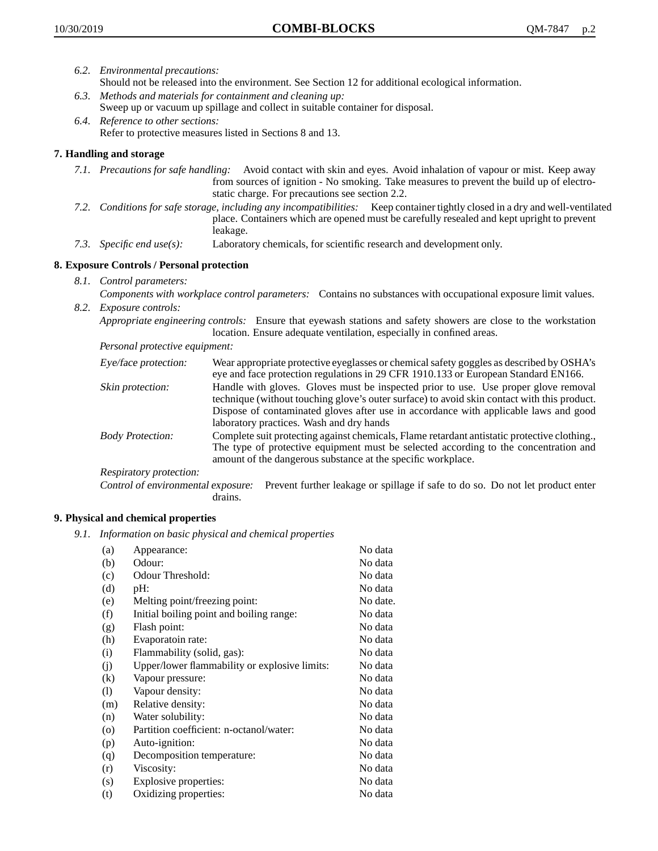- *6.2. Environmental precautions:* Should not be released into the environment. See Section 12 for additional ecological information.
- *6.3. Methods and materials for containment and cleaning up:* Sweep up or vacuum up spillage and collect in suitable container for disposal.
- *6.4. Reference to other sections:* Refer to protective measures listed in Sections 8 and 13.

# **7. Handling and storage**

- *7.1. Precautions for safe handling:* Avoid contact with skin and eyes. Avoid inhalation of vapour or mist. Keep away from sources of ignition - No smoking. Take measures to prevent the build up of electrostatic charge. For precautions see section 2.2.
- *7.2. Conditions for safe storage, including any incompatibilities:* Keep container tightly closed in a dry and well-ventilated place. Containers which are opened must be carefully resealed and kept upright to prevent leakage.
- *7.3. Specific end use(s):* Laboratory chemicals, for scientific research and development only.

# **8. Exposure Controls / Personal protection**

- *8.1. Control parameters:*
- *Components with workplace control parameters:* Contains no substances with occupational exposure limit values. *8.2. Exposure controls:*

*Appropriate engineering controls:* Ensure that eyewash stations and safety showers are close to the workstation location. Ensure adequate ventilation, especially in confined areas.

*Personal protective equipment:*

| Eye/face protection:    | Wear appropriate protective eyeglasses or chemical safety goggles as described by OSHA's<br>eye and face protection regulations in 29 CFR 1910.133 or European Standard EN166.                                                                                                                                         |
|-------------------------|------------------------------------------------------------------------------------------------------------------------------------------------------------------------------------------------------------------------------------------------------------------------------------------------------------------------|
| Skin protection:        | Handle with gloves. Gloves must be inspected prior to use. Use proper glove removal<br>technique (without touching glove's outer surface) to avoid skin contact with this product.<br>Dispose of contaminated gloves after use in accordance with applicable laws and good<br>laboratory practices. Wash and dry hands |
| <b>Body Protection:</b> | Complete suit protecting against chemicals, Flame retardant antistatic protective clothing.,<br>The type of protective equipment must be selected according to the concentration and<br>amount of the dangerous substance at the specific workplace.                                                                   |
| Respiratory protection: |                                                                                                                                                                                                                                                                                                                        |

Control of environmental exposure: Prevent further leakage or spillage if safe to do so. Do not let product enter drains.

# **9. Physical and chemical properties**

*9.1. Information on basic physical and chemical properties*

| (a)                        | Appearance:                                   | No data  |
|----------------------------|-----------------------------------------------|----------|
| (b)                        | Odour:                                        | No data  |
| (c)                        | Odour Threshold:                              | No data  |
| (d)                        | pH:                                           | No data  |
| (e)                        | Melting point/freezing point:                 | No date. |
| (f)                        | Initial boiling point and boiling range:      | No data  |
| (g)                        | Flash point:                                  | No data  |
| (h)                        | Evaporatoin rate:                             | No data  |
| (i)                        | Flammability (solid, gas):                    | No data  |
| (j)                        | Upper/lower flammability or explosive limits: | No data  |
| (k)                        | Vapour pressure:                              | No data  |
| $\left( \mathrm{l}\right)$ | Vapour density:                               | No data  |
| (m)                        | Relative density:                             | No data  |
| (n)                        | Water solubility:                             | No data  |
| $\circ$                    | Partition coefficient: n-octanol/water:       | No data  |
| (p)                        | Auto-ignition:                                | No data  |
| (q)                        | Decomposition temperature:                    | No data  |
| (r)                        | Viscosity:                                    | No data  |
| (s)                        | Explosive properties:                         | No data  |
| (t)                        | Oxidizing properties:                         | No data  |